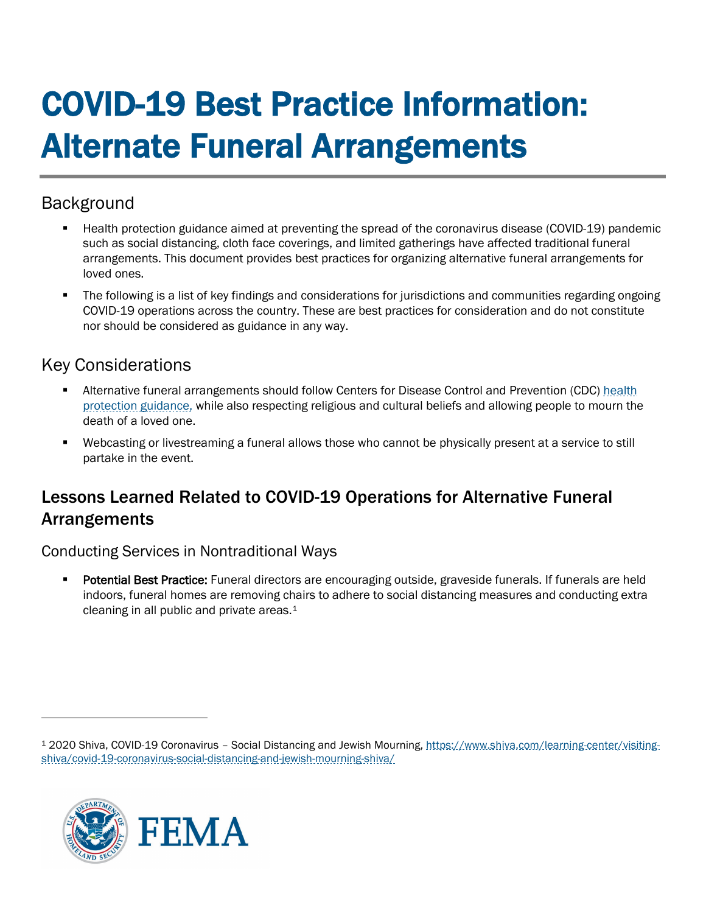# COVID-19 Best Practice Information: Alternate Funeral Arrangements

## Background

- Health protection guidance aimed at preventing the spread of the coronavirus disease (COVID-19) pandemic such as social distancing, cloth face coverings, and limited gatherings have affected traditional funeral arrangements. This document provides best practices for organizing alternative funeral arrangements for loved ones.
- The following is a list of key findings and considerations for jurisdictions and communities regarding ongoing COVID-19 operations across the country. These are best practices for consideration and do not constitute nor should be considered as guidance in any way.

## Key Considerations

- **Alternative funeral arrangements should follow Centers for Disease Control and Prevention (CDC) health** [protection guidance,](https://www.cdc.gov/coronavirus/2019-ncov/faq.html#COVID-19-and-Funerals) while also respecting religious and cultural beliefs and allowing people to mourn the death of a loved one.
- Webcasting or livestreaming a funeral allows those who cannot be physically present at a service to still partake in the event.

## Lessons Learned Related to COVID-19 Operations for Alternative Funeral Arrangements

#### Conducting Services in Nontraditional Ways

 Potential Best Practice: Funeral directors are encouraging outside, graveside funerals. If funerals are held indoors, funeral homes are removing chairs to adhere to social distancing measures and conducting extra cleaning in all public and private areas.[1](#page-0-0) 

<span id="page-0-0"></span><sup>1</sup> 2020 Shiva, COVID-19 Coronavirus – Social Distancing and Jewish Mourning, [https://www.shiva.com/learning-center/visiting](https://www.shiva.com/learning-center/visiting-shiva/covid-19-coronavirus-social-distancing-and-jewish-mourning-shiva/)[shiva/covid-19-coronavirus-social-distancing-and-jewish-mourning-shiva/](https://www.shiva.com/learning-center/visiting-shiva/covid-19-coronavirus-social-distancing-and-jewish-mourning-shiva/)

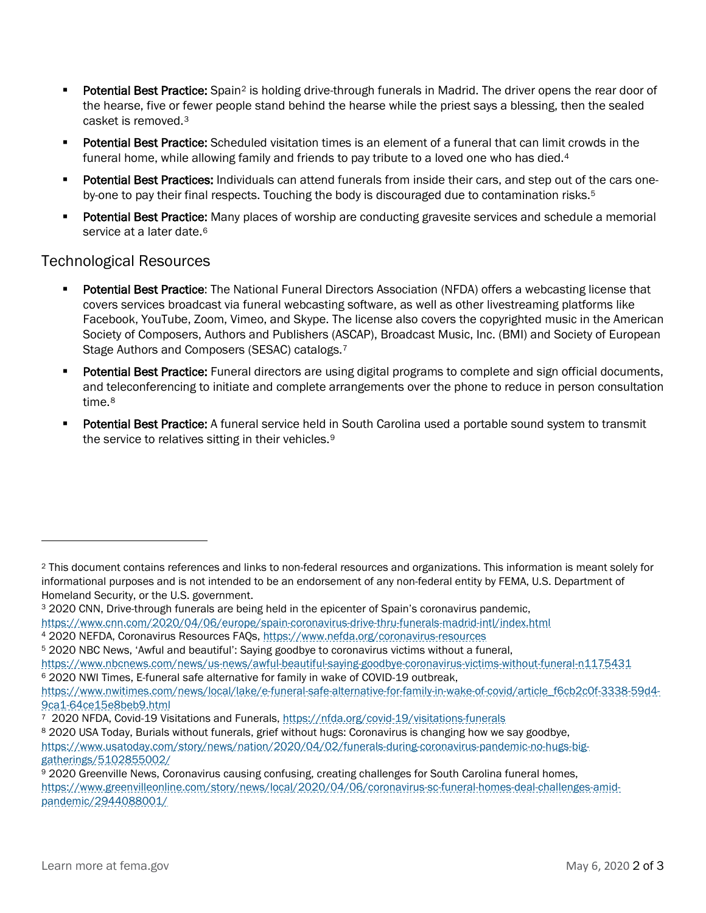- Potential Best Practice: Spain<sup>[2](#page-1-0)</sup> is holding drive-through funerals in Madrid. The driver opens the rear door of the hearse, five or fewer people stand behind the hearse while the priest says a blessing, then the sealed casket is removed.[3](#page-1-1)
- **Potential Best Practice:** Scheduled visitation times is an element of a funeral that can limit crowds in the funeral home, while allowing family and friends to pay tribute to a loved one who has died.<sup>[4](#page-1-2)</sup>
- Potential Best Practices: Individuals can attend funerals from inside their cars, and step out of the cars oneby-one to pay their final respects. Touching the body is discouraged due to contamination risks.[5](#page-1-3)
- Potential Best Practice: Many places of worship are conducting gravesite services and schedule a memorial service at a later date.<sup>[6](#page-1-4)</sup>

#### Technological Resources

- Potential Best Practice: The National Funeral Directors Association (NFDA) offers a webcasting license that covers services broadcast via funeral webcasting software, as well as other livestreaming platforms like Facebook, YouTube, Zoom, Vimeo, and Skype. The license also covers the copyrighted music in the American Society of Composers, Authors and Publishers (ASCAP), Broadcast Music, Inc. (BMI) and Society of European Stage Authors and Composers (SESAC) catalogs.[7](#page-1-5)
- Potential Best Practice: Funeral directors are using digital programs to complete and sign official documents, and teleconferencing to initiate and complete arrangements over the phone to reduce in person consultation time.[8](#page-1-6)
- Potential Best Practice: A funeral service held in South Carolina used a portable sound system to transmit the service to relatives sitting in their vehicles.<sup>9</sup>

<https://www.cnn.com/2020/04/06/europe/spain-coronavirus-drive-thru-funerals-madrid-intl/index.html>

[https://www.usatoday.com/story/news/nation/2020/04/02/funerals-during-coronavirus-pandemic-no-hugs-big](https://www.usatoday.com/story/news/nation/2020/04/02/funerals-during-coronavirus-pandemic-no-hugs-big-gatherings/5102855002/)[gatherings/5102855002/](https://www.usatoday.com/story/news/nation/2020/04/02/funerals-during-coronavirus-pandemic-no-hugs-big-gatherings/5102855002/)

<span id="page-1-0"></span><sup>2</sup> This document contains references and links to non-federal resources and organizations. This information is meant solely for informational purposes and is not intended to be an endorsement of any non-federal entity by FEMA, U.S. Department of Homeland Security, or the U.S. government.

<span id="page-1-1"></span><sup>3</sup> 2020 CNN, Drive-through funerals are being held in the epicenter of Spain's coronavirus pandemic,

<span id="page-1-2"></span><sup>4</sup> 2020 NEFDA, Coronavirus Resources FAQs,<https://www.nefda.org/coronavirus-resources>

<span id="page-1-3"></span><sup>5</sup> 2020 NBC News, 'Awful and beautiful': Saying goodbye to coronavirus victims without a funeral,

<https://www.nbcnews.com/news/us-news/awful-beautiful-saying-goodbye-coronavirus-victims-without-funeral-n1175431> <sup>6</sup> 2020 NWI Times, E-funeral safe alternative for family in wake of COVID-19 outbreak,

<span id="page-1-4"></span>[https://www.nwitimes.com/news/local/lake/e-funeral-safe-alternative-for-family-in-wake-of-covid/article\\_f6cb2c0f-3338-59d4-](https://www.nwitimes.com/news/local/lake/e-funeral-safe-alternative-for-family-in-wake-of-covid/article_f6cb2c0f-3338-59d4-9ca1-64ce15e8beb9.html) [9ca1-64ce15e8beb9.html](https://www.nwitimes.com/news/local/lake/e-funeral-safe-alternative-for-family-in-wake-of-covid/article_f6cb2c0f-3338-59d4-9ca1-64ce15e8beb9.html)

<span id="page-1-5"></span><sup>7 2020</sup> NFDA, Covid-19 Visitations and Funerals,<https://nfda.org/covid-19/visitations-funerals>

<span id="page-1-6"></span><sup>8 2020</sup> USA Today, Burials without funerals, grief without hugs: Coronavirus is changing how we say goodbye,

<span id="page-1-7"></span><sup>9</sup> 2020 Greenville News, Coronavirus causing confusing, creating challenges for South Carolina funeral homes, [https://www.greenvilleonline.com/story/news/local/2020/04/06/coronavirus-sc-funeral-homes-deal-challenges-amid](https://www.greenvilleonline.com/story/news/local/2020/04/06/coronavirus-sc-funeral-homes-deal-challenges-amid-pandemic/2944088001/)[pandemic/2944088001/](https://www.greenvilleonline.com/story/news/local/2020/04/06/coronavirus-sc-funeral-homes-deal-challenges-amid-pandemic/2944088001/)